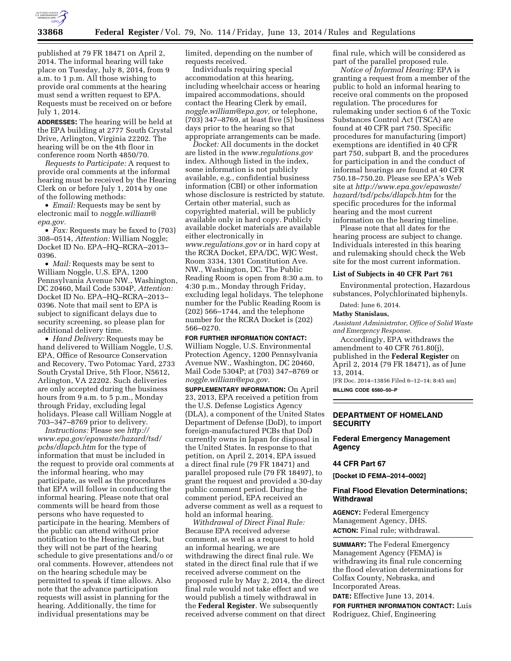

published at 79 FR 18471 on April 2, 2014. The informal hearing will take place on Tuesday, July 8, 2014, from 9 a.m. to 1 p.m. All those wishing to provide oral comments at the hearing must send a written request to EPA. Requests must be received on or before July 1, 2014.

**ADDRESSES:** The hearing will be held at the EPA building at 2777 South Crystal Drive, Arlington, Virginia 22202. The hearing will be on the 4th floor in conference room North 4850/70.

*Requests to Participate:* A request to provide oral comments at the informal hearing must be received by the Hearing Clerk on or before July 1, 2014 by one of the following methods:

• *Email:* Requests may be sent by electronic mail to *[noggle.william@](mailto:noggle.william@epa.gov) [epa.gov.](mailto:noggle.william@epa.gov)* 

• *Fax:* Requests may be faxed to (703) 308–0514, *Attention:* William Noggle; Docket ID No. EPA–HQ–RCRA–2013– 0396.

• *Mail:* Requests may be sent to William Noggle, U.S. EPA, 1200 Pennsylvania Avenue NW., Washington, DC 20460, Mail Code 5304P, *Attention:*  Docket ID No. EPA–HQ–RCRA–2013– 0396. Note that mail sent to EPA is subject to significant delays due to security screening, so please plan for additional delivery time.

• *Hand Delivery:* Requests may be hand delivered to William Noggle, U.S. EPA, Office of Resource Conservation and Recovery, Two Potomac Yard, 2733 South Crystal Drive, 5th Floor, N5612, Arlington, VA 22202. Such deliveries are only accepted during the business hours from 9 a.m. to 5 p.m., Monday through Friday, excluding legal holidays. Please call William Noggle at 703–347–8769 prior to delivery.

*Instructions:* Please see *[http://](http://www.epa.gov/epawaste/hazard/tsd/pcbs/dlapcb.htm) [www.epa.gov/epawaste/hazard/tsd/](http://www.epa.gov/epawaste/hazard/tsd/pcbs/dlapcb.htm) [pcbs/dlapcb.htm](http://www.epa.gov/epawaste/hazard/tsd/pcbs/dlapcb.htm)* for the type of information that must be included in the request to provide oral comments at the informal hearing, who may participate, as well as the procedures that EPA will follow in conducting the informal hearing. Please note that oral comments will be heard from those persons who have requested to participate in the hearing. Members of the public can attend without prior notification to the Hearing Clerk, but they will not be part of the hearing schedule to give presentations and/o or oral comments. However, attendees not on the hearing schedule may be permitted to speak if time allows. Also note that the advance participation requests will assist in planning for the hearing. Additionally, the time for individual presentations may be

limited, depending on the number of requests received.

Individuals requiring special accommodation at this hearing, including wheelchair access or hearing impaired accommodations, should contact the Hearing Clerk by email, *[noggle.william@epa.gov,](mailto:noggle.william@epa.gov)* or telephone, (703) 347–8769, at least five (5) business days prior to the hearing so that appropriate arrangements can be made.

*Docket:* All documents in the docket are listed in the *[www.regulations.gov](http://www.regulations.gov)*  index. Although listed in the index, some information is not publicly available, e.g., confidential business information (CBI) or other information whose disclosure is restricted by statute. Certain other material, such as copyrighted material, will be publicly available only in hard copy. Publicly available docket materials are available either electronically in *[www.regulations.gov](http://www.regulations.gov)* or in hard copy at the RCRA Docket, EPA/DC, WJC West, Room 3334, 1301 Constitution Ave. NW., Washington, DC. The Public Reading Room is open from 8:30 a.m. to 4:30 p.m., Monday through Friday, excluding legal holidays. The telephone number for the Public Reading Room is (202) 566–1744, and the telephone number for the RCRA Docket is (202) 566–0270.

**FOR FURTHER INFORMATION CONTACT:**  William Noggle, U.S. Environmental Protection Agency, 1200 Pennsylvania Avenue NW., Washington, DC 20460, Mail Code 5304P; at (703) 347–8769 or *[noggle.william@epa.gov.](mailto:noggle.william@epa.gov)* 

**SUPPLEMENTARY INFORMATION:** On April 23, 2013, EPA received a petition from the U.S. Defense Logistics Agency (DLA), a component of the United States Department of Defense (DoD), to import foreign-manufactured PCBs that DoD currently owns in Japan for disposal in the United States. In response to that petition, on April 2, 2014, EPA issued a direct final rule (79 FR 18471) and parallel proposed rule (79 FR 18497), to grant the request and provided a 30-day public comment period. During the comment period, EPA received an adverse comment as well as a request to hold an informal hearing.

*Withdrawal of Direct Final Rule:*  Because EPA received adverse comment, as well as a request to hold an informal hearing, we are withdrawing the direct final rule. We stated in the direct final rule that if we received adverse comment on the proposed rule by May 2, 2014, the direct final rule would not take effect and we would publish a timely withdrawal in the **Federal Register**. We subsequently received adverse comment on that direct final rule, which will be considered as part of the parallel proposed rule.

*Notice of Informal Hearing:* EPA is granting a request from a member of the public to hold an informal hearing to receive oral comments on the proposed regulation. The procedures for rulemaking under section 6 of the Toxic Substances Control Act (TSCA) are found at 40 CFR part 750. Specific procedures for manufacturing (import) exemptions are identified in 40 CFR part 750, subpart B, and the procedures for participation in and the conduct of informal hearings are found at 40 CFR 750.18–750.20. Please see EPA's Web site at *[http://www.epa.gov/epawaste/](http://www.epa.gov/epawaste/hazard/tsd/pcbs/dlapcb.htm) [hazard/tsd/pcbs/dlapcb.htm](http://www.epa.gov/epawaste/hazard/tsd/pcbs/dlapcb.htm)* for the specific procedures for the informal hearing and the most current information on the hearing timeline.

Please note that all dates for the hearing process are subject to change. Individuals interested in this hearing and rulemaking should check the Web site for the most current information.

## **List of Subjects in 40 CFR Part 761**

Environmental protection, Hazardous substances, Polychlorinated biphenyls.

Dated: June 6, 2014.

#### **Mathy Stanislaus,**

*Assistant Administrator, Office of Solid Waste and Emergency Response.* 

Accordingly, EPA withdraws the amendment to 40 CFR 761.80(j), published in the **Federal Register** on April 2, 2014 (79 FR 18471), as of June 13, 2014. [FR Doc. 2014–13856 Filed 6–12–14; 8:45 am]

**BILLING CODE 6560–50–P** 

## **DEPARTMENT OF HOMELAND SECURITY**

**Federal Emergency Management Agency** 

#### **44 CFR Part 67**

**[Docket ID FEMA–2014–0002]** 

### **Final Flood Elevation Determinations; Withdrawal**

**AGENCY:** Federal Emergency Management Agency, DHS. **ACTION:** Final rule; withdrawal.

**SUMMARY:** The Federal Emergency Management Agency (FEMA) is withdrawing its final rule concerning the flood elevation determinations for Colfax County, Nebraska, and Incorporated Areas.

**DATE:** Effective June 13, 2014.

**FOR FURTHER INFORMATION CONTACT:** Luis Rodriguez, Chief, Engineering